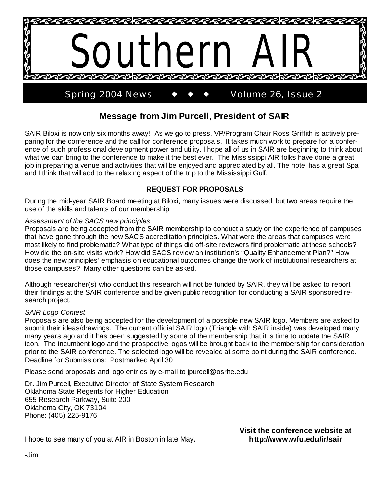

# **Message from Jim Purcell, President of SAIR**

SAIR Biloxi is now only six months away! As we go to press, VP/Program Chair Ross Griffith is actively preparing for the conference and the call for conference proposals. It takes much work to prepare for a conference of such professional development power and utility. I hope all of us in SAIR are beginning to think about what we can bring to the conference to make it the best ever. The Mississippi AIR folks have done a great job in preparing a venue and activities that will be enjoyed and appreciated by all. The hotel has a great Spa and I think that will add to the relaxing aspect of the trip to the Mississippi Gulf.

#### **REQUEST FOR PROPOSALS**

During the mid-year SAIR Board meeting at Biloxi, many issues were discussed, but two areas require the use of the skills and talents of our membership:

#### *Assessment of the SACS new principles*

Proposals are being accepted from the SAIR membership to conduct a study on the experience of campuses that have gone through the new SACS accreditation principles. What were the areas that campuses were most likely to find problematic? What type of things did off-site reviewers find problematic at these schools? How did the on-site visits work? How did SACS review an institution's "Quality Enhancement Plan?" How does the new principles' emphasis on educational outcomes change the work of institutional researchers at those campuses? Many other questions can be asked.

Although researcher(s) who conduct this research will not be funded by SAIR, they will be asked to report their findings at the SAIR conference and be given public recognition for conducting a SAIR sponsored research project.

#### *SAIR Logo Contest*

Proposals are also being accepted for the development of a possible new SAIR logo. Members are asked to submit their ideas/drawings. The current official SAIR logo (Triangle with SAIR inside) was developed many many years ago and it has been suggested by some of the membership that it is time to update the SAIR icon. The incumbent logo and the prospective logos will be brought back to the membership for consideration prior to the SAIR conference. The selected logo will be revealed at some point during the SAIR conference. Deadline for Submissions: Postmarked April 30

Please send proposals and logo entries by e-mail to jpurcell@osrhe.edu

Dr. Jim Purcell, Executive Director of State System Research Oklahoma State Regents for Higher Education 655 Research Parkway, Suite 200 Oklahoma City, OK 73104 Phone: (405) 225-9176

> **Visit the conference website at http://www.wfu.edu/ir/sair**

I hope to see many of you at AIR in Boston in late May.

-Jim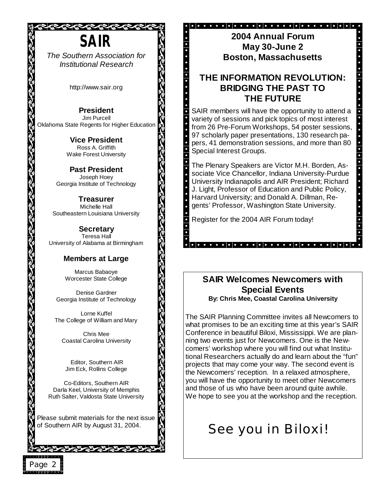

*The Southern Association for Institutional Research*

http://www.sair.org

**President**  Jim Purcell Oklahoma State Regents for Higher Education

a.<br>Ka

**Vice President**  Ross A. Griffith Wake Forest University

**Past President**  Joseph Hoey Georgia Institute of Technology

**Treasurer** Michelle Hall Southeastern Louisiana University

**Secretary** Teresa Hall University of Alabama at Birmingham

#### **Members at Large**

Marcus Babaoye Worcester State College

Denise Gardner Georgia Institute of Technology

Lorne Kuffel The College of William and Mary

Chris Mee Coastal Carolina University

 Editor, Southern AIR Jim Eck, Rollins College

Co-Editors, Southern AIR Darla Keel, University of Memphis Ruth Salter, Valdosta State University

Please submit materials for the next issue of Southern AIR by August 31, 2004.

シュシュシュシュシュシュシュシュシ

Page 2

#### 

**2004 Annual Forum May 30-June 2 Boston, Massachusetts**

# **THE INFORMATION REVOLUTION: BRIDGING THE PAST TO THE FUTURE**

**E**<br>
.<br>
.<br>
.

**R** 

)<br>R

Ŕ

)<br>N

SAIR members will have the opportunity to attend a variety of sessions and pick topics of most interest from 26 Pre-Forum Workshops, 54 poster sessions, 97 scholarly paper presentations, 130 research papers, 41 demonstration sessions, and more than 80 Special Interest Groups.

The Plenary Speakers are Victor M.H. Borden, Associate Vice Chancellor, Indiana University-Purdue University Indianapolis and AIR President; Richard J. Light, Professor of Education and Public Policy, Harvard University; and Donald A. Dillman, Regents' Professor, Washington State University.

Register for the 2004 AIR Forum today!

#### **SAIR Welcomes Newcomers with Special Events By: Chris Mee, Coastal Carolina University**

The SAIR Planning Committee invites all Newcomers to what promises to be an exciting time at this year's SAIR Conference in beautiful Biloxi, Mississippi. We are planning two events just for Newcomers. One is the Newcomers' workshop where you will find out what Institutional Researchers actually do and learn about the "fun" projects that may come your way. The second event is the Newcomers' reception. In a relaxed atmosphere, you will have the opportunity to meet other Newcomers and those of us who have been around quite awhile. We hope to see you at the workshop and the reception.

# See you in Biloxi!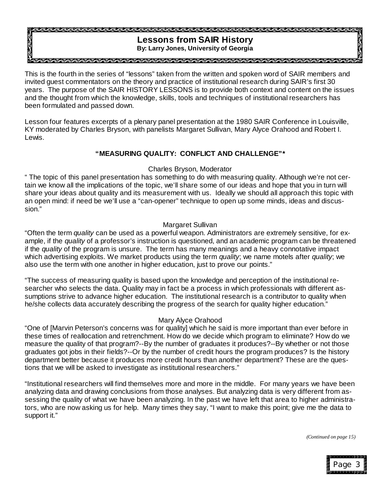#### **Lessons from SAIR History By: Larry Jones, University of Georgia**

DO DO DO DO DO DO DO DO DO DO DO

This is the fourth in the series of "lessons" taken from the written and spoken word of SAIR members and invited guest commentators on the theory and practice of institutional research during SAIR's first 30 years. The purpose of the SAIR HISTORY LESSONS is to provide both context and content on the issues and the thought from which the knowledge, skills, tools and techniques of institutional researchers has been formulated and passed down.

Lesson four features excerpts of a plenary panel presentation at the 1980 SAIR Conference in Louisville, KY moderated by Charles Bryson, with panelists Margaret Sullivan, Mary Alyce Orahood and Robert I. Lewis.

#### **"MEASURING QUALITY: CONFLICT AND CHALLENGE"\***

#### Charles Bryson, Moderator

" The topic of this panel presentation has something to do with measuring quality. Although we're not certain we know all the implications of the topic, we'll share some of our ideas and hope that you in turn will share your ideas about quality and its measurement with us. Ideally we should all approach this topic with an open mind: if need be we'll use a "can-opener" technique to open up some minds, ideas and discussion."

#### Margaret Sullivan

"Often the term *quality* can be used as a powerful weapon. Administrators are extremely sensitive, for example, if the *quality* of a professor's instruction is questioned, and an academic program can be threatened if the *quality* of the program is unsure. The term has many meanings and a heavy connotative impact which advertising exploits. We market products using the term *quality*; we name motels after *quality*; we also use the term with one another in higher education, just to prove our points."

"The success of measuring quality is based upon the knowledge and perception of the institutional researcher who selects the data. Quality may in fact be a process in which professionals with different assumptions strive to advance higher education. The institutional research is a contributor to quality when he/she collects data accurately describing the progress of the search for quality higher education."

#### Mary Alyce Orahood

"One of [Marvin Peterson's concerns was for quality] which he said is more important than ever before in these times of reallocation and retrenchment. How do we decide which program to eliminate? How do we measure the quality of that program?--By the number of graduates it produces?--By whether or not those graduates got jobs in their fields?--Or by the number of credit hours the program produces? Is the history department better because it produces more credit hours than another department? These are the questions that we will be asked to investigate as institutional researchers."

"Institutional researchers will find themselves more and more in the middle. For many years we have been analyzing data and drawing conclusions from those analyses. But analyzing data is very different from assessing the quality of what we have been analyzing. In the past we have left that area to higher administrators, who are now asking us for help. Many times they say, "I want to make this point; give me the data to support it."

*(Continued on page 15)*

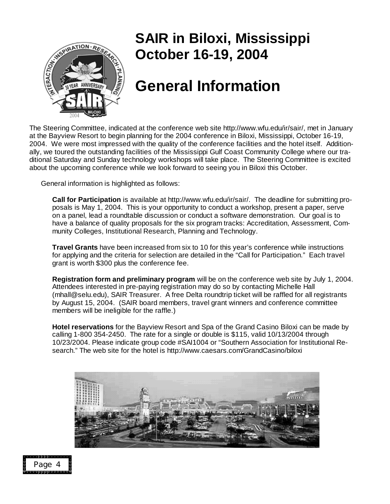

# **SAIR in Biloxi, Mississippi October 16-19, 2004**

# **General Information**

The Steering Committee, indicated at the conference web site http://www.wfu.edu/ir/sair/, met in January at the Bayview Resort to begin planning for the 2004 conference in Biloxi, Mississippi, October 16-19, 2004. We were most impressed with the quality of the conference facilities and the hotel itself. Additionally, we toured the outstanding facilities of the Mississippi Gulf Coast Community College where our traditional Saturday and Sunday technology workshops will take place. The Steering Committee is excited about the upcoming conference while we look forward to seeing you in Biloxi this October.

General information is highlighted as follows:

 **Call for Participation** is available at http://www.wfu.edu/ir/sair/. The deadline for submitting proposals is May 1, 2004. This is your opportunity to conduct a workshop, present a paper, serve on a panel, lead a roundtable discussion or conduct a software demonstration. Our goal is to have a balance of quality proposals for the six program tracks: Accreditation, Assessment, Community Colleges, Institutional Research, Planning and Technology.

 **Travel Grants** have been increased from six to 10 for this year's conference while instructions for applying and the criteria for selection are detailed in the "Call for Participation."Each travel grant is worth \$300 plus the conference fee.

 **Registration form and preliminary program** will be on the conference web site by July 1, 2004. Attendees interested in pre-paying registration may do so by contacting Michelle Hall (mhall@selu.edu), SAIR Treasurer. A free Delta roundtrip ticket will be raffled for all registrants by August 15, 2004. (SAIR board members, travel grant winners and conference committee members will be ineligible for the raffle.)

 **Hotel reservations** for the Bayview Resort and Spa of the Grand Casino Biloxi can be made by calling 1-800 354-2450. The rate for a single or double is \$115, valid 10/13/2004 through 10/23/2004. Please indicate group code #SAI1004 or "Southern Association for Institutional Research." The web site for the hotel is http://www.caesars.com/GrandCasino/biloxi



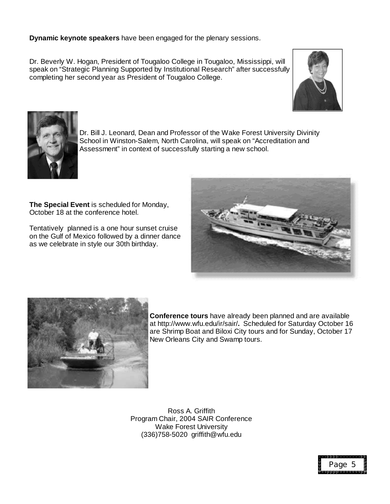#### **Dynamic keynote speakers** have been engaged for the plenary sessions.

Dr. Beverly W. Hogan, President of Tougaloo College in Tougaloo, Mississippi, will speak on "Strategic Planning Supported by Institutional Research" after successfully completing her second year as President of Tougaloo College.





Dr. Bill J. Leonard, Dean and Professor of the Wake Forest University Divinity School in Winston-Salem, North Carolina, will speak on "Accreditation and Assessment" in context of successfully starting a new school.

**The Special Event** is scheduled for Monday, October 18 at the conference hotel.

Tentatively planned is a one hour sunset cruise on the Gulf of Mexico followed by a dinner dance as we celebrate in style our 30th birthday.





**Conference tours** have already been planned and are available at http://www.wfu.edu/ir/sair/**.** Scheduled for Saturday October 16 are Shrimp Boat and Biloxi City tours and for Sunday, October 17 New Orleans City and Swamp tours.

Ross A. Griffith Program Chair, 2004 SAIR Conference Wake Forest University (336)758-5020 griffith@wfu.edu

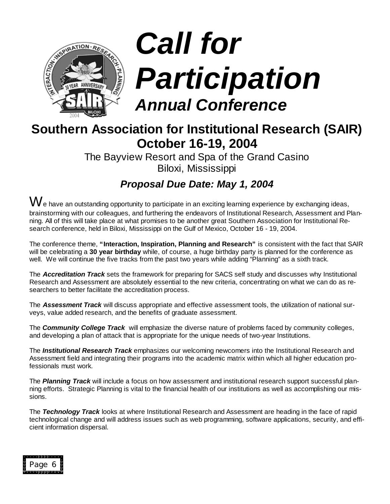

# *Call for Participation Annual Conference*

# **Southern Association for Institutional Research (SAIR) October 16-19, 2004**

The Bayview Resort and Spa of the Grand Casino Biloxi, Mississippi

*Proposal Due Date: May 1, 2004*

 ${\rm W}$ e have an outstanding opportunity to participate in an exciting learning experience by exchanging ideas, brainstorming with our colleagues, and furthering the endeavors of Institutional Research, Assessment and Planning. All of this will take place at what promises to be another great Southern Association for Institutional Research conference, held in Biloxi, Mississippi on the Gulf of Mexico, October 16 - 19, 2004.

The conference theme, **"Interaction, Inspiration, Planning and Research"** is consistent with the fact that SAIR will be celebrating a **30 year birthday** while, of course, a huge birthday party is planned for the conference as well. We will continue the five tracks from the past two years while adding "Planning" as a sixth track.

The *Accreditation Track* sets the framework for preparing for SACS self study and discusses why Institutional Research and Assessment are absolutely essential to the new criteria, concentrating on what we can do as researchers to better facilitate the accreditation process.

The *Assessment Track* will discuss appropriate and effective assessment tools, the utilization of national surveys, value added research, and the benefits of graduate assessment.

The *Community College Track* will emphasize the diverse nature of problems faced by community colleges, and developing a plan of attack that is appropriate for the unique needs of two-year Institutions.

The *Institutional Research Track* emphasizes our welcoming newcomers into the Institutional Research and Assessment field and integrating their programs into the academic matrix within which all higher education professionals must work.

The *Planning Track* will include a focus on how assessment and institutional research support successful planning efforts. Strategic Planning is vital to the financial health of our institutions as well as accomplishing our missions.

The *Technology Track* looks at where Institutional Research and Assessment are heading in the face of rapid technological change and will address issues such as web programming, software applications, security, and efficient information dispersal.

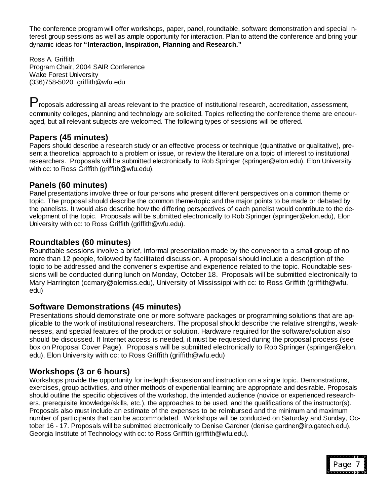The conference program will offer workshops, paper, panel, roundtable, software demonstration and special interest group sessions as well as ample opportunity for interaction. Plan to attend the conference and bring your dynamic ideas for **"Interaction, Inspiration, Planning and Research."** 

Ross A. Griffith Program Chair, 2004 SAIR Conference Wake Forest University (336)758-5020 griffith@wfu.edu

P roposals addressing all areas relevant to the practice of institutional research, accreditation, assessment, community colleges, planning and technology are solicited. Topics reflecting the conference theme are encouraged, but all relevant subjects are welcomed. The following types of sessions will be offered.

## **Papers (45 minutes)**

Papers should describe a research study or an effective process or technique (quantitative or qualitative), present a theoretical approach to a problem or issue, or review the literature on a topic of interest to institutional researchers. Proposals will be submitted electronically to Rob Springer (springer@elon.edu), Elon University with cc: to Ross Griffith (griffith@wfu.edu).

## **Panels (60 minutes)**

Panel presentations involve three or four persons who present different perspectives on a common theme or topic. The proposal should describe the common theme/topic and the major points to be made or debated by the panelists. It would also describe how the differing perspectives of each panelist would contribute to the development of the topic. Proposals will be submitted electronically to Rob Springer (springer@elon.edu), Elon University with cc: to Ross Griffith (griffith@wfu.edu).

## **Roundtables (60 minutes)**

Roundtable sessions involve a brief, informal presentation made by the convener to a small group of no more than 12 people, followed by facilitated discussion. A proposal should include a description of the topic to be addressed and the convener's expertise and experience related to the topic. Roundtable sessions will be conducted during lunch on Monday, October 18. Proposals will be submitted electronically to Mary Harrington (ccmary@olemiss.edu), University of Mississippi with cc: to Ross Griffith (griffith@wfu. edu)

## **Software Demonstrations (45 minutes)**

Presentations should demonstrate one or more software packages or programming solutions that are applicable to the work of institutional researchers. The proposal should describe the relative strengths, weaknesses, and special features of the product or solution. Hardware required for the software/solution also should be discussed. If Internet access is needed, it must be requested during the proposal process (see box on Proposal Cover Page). Proposals will be submitted electronically to Rob Springer (springer@elon. edu), Elon University with cc: to Ross Griffith (griffith@wfu.edu)

## **Workshops (3 or 6 hours)**

Workshops provide the opportunity for in-depth discussion and instruction on a single topic. Demonstrations, exercises, group activities, and other methods of experiential learning are appropriate and desirable. Proposals should outline the specific objectives of the workshop, the intended audience (novice or experienced researchers, prerequisite knowledge/skills, etc.), the approaches to be used, and the qualifications of the instructor(s). Proposals also must include an estimate of the expenses to be reimbursed and the minimum and maximum number of participants that can be accommodated. Workshops will be conducted on Saturday and Sunday, October 16 - 17. Proposals will be submitted electronically to Denise Gardner (denise.gardner@irp.gatech.edu), Georgia Institute of Technology with cc: to Ross Griffith (griffith@wfu.edu).

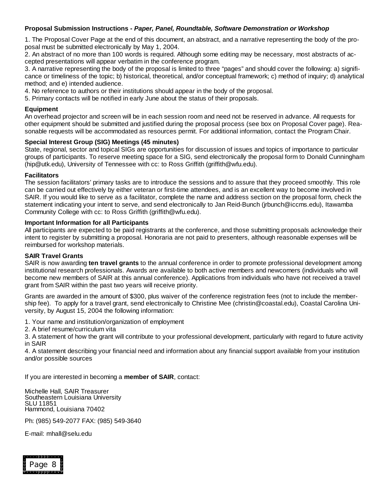#### **Proposal Submission Instructions -** *Paper, Panel, Roundtable, Software Demonstration or Workshop*

1. The Proposal Cover Page at the end of this document, an abstract, and a narrative representing the body of the proposal must be submitted electronically by May 1, 2004.

2. An abstract of no more than 100 words is required. Although some editing may be necessary, most abstracts of accepted presentations will appear verbatim in the conference program.

3. A narrative representing the body of the proposal is limited to three "pages" and should cover the following: a) significance or timeliness of the topic; b) historical, theoretical, and/or conceptual framework; c) method of inquiry; d) analytical method; and e) intended audience.

4. No reference to authors or their institutions should appear in the body of the proposal.

5. Primary contacts will be notified in early June about the status of their proposals.

#### **Equipment**

An overhead projector and screen will be in each session room and need not be reserved in advance. All requests for other equipment should be submitted and justified during the proposal process (see box on Proposal Cover page). Reasonable requests will be accommodated as resources permit. For additional information, contact the Program Chair.

#### **Special Interest Group (SIG) Meetings (45 minutes)**

State, regional, sector and topical SIGs are opportunities for discussion of issues and topics of importance to particular groups of participants. To reserve meeting space for a SIG, send electronically the proposal form to Donald Cunningham (hip@utk.edu), University of Tennessee with cc: to Ross Griffith (griffith@wfu.edu).

#### **Facilitators**

The session facilitators' primary tasks are to introduce the sessions and to assure that they proceed smoothly. This role can be carried out effectively by either veteran or first-time attendees, and is an excellent way to become involved in SAIR. If you would like to serve as a facilitator, complete the name and address section on the proposal form, check the statement indicating your intent to serve, and send electronically to Jan Reid-Bunch (jrbunch@iccms.edu), Itawamba Community College with cc: to Ross Griffith (griffith@wfu.edu).

#### **Important Information for all Participants**

All participants are expected to be paid registrants at the conference, and those submitting proposals acknowledge their intent to register by submitting a proposal. Honoraria are not paid to presenters, although reasonable expenses will be reimbursed for workshop materials.

#### **SAIR Travel Grants**

SAIR is now awarding **ten travel grants** to the annual conference in order to promote professional development among institutional research professionals. Awards are available to both active members and newcomers (individuals who will become new members of SAIR at this annual conference). Applications from individuals who have not received a travel grant from SAIR within the past two years will receive priority.

Grants are awarded in the amount of \$300, plus waiver of the conference registration fees (not to include the membership fee). To apply for a travel grant, send electronically to Christine Mee (christin@coastal.edu), Coastal Carolina University, by August 15, 2004 the following information:

1. Your name and institution/organization of employment

2. A brief resume/curriculum vita

3. A statement of how the grant will contribute to your professional development, particularly with regard to future activity in SAIR

4. A statement describing your financial need and information about any financial support available from your institution and/or possible sources

If you are interested in becoming a **member of SAIR**, contact:

Michelle Hall, SAIR Treasurer Southeastern Louisiana University SLU 11851 Hammond, Louisiana 70402

Ph: (985) 549-2077 FAX: (985) 549-3640

E-mail: mhall@selu.edu

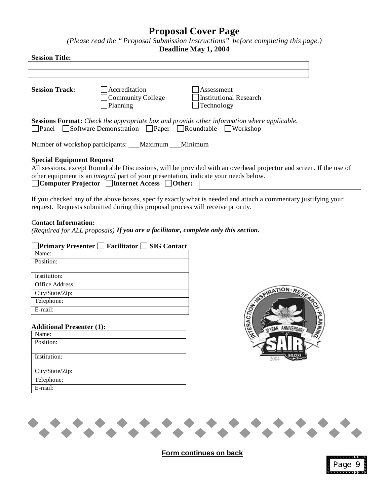# **Proposal Cover Page**

*(Please read the "Proposal Submission Instructions" before completing this page.)* **Deadline May 1, 2004**

|  | <b>Deadline May 1, 2004</b> |  |
|--|-----------------------------|--|
|--|-----------------------------|--|

| <b>Session Title:</b>                                                                       |                                                               |                                                                                                                    |  |  |
|---------------------------------------------------------------------------------------------|---------------------------------------------------------------|--------------------------------------------------------------------------------------------------------------------|--|--|
|                                                                                             |                                                               |                                                                                                                    |  |  |
|                                                                                             |                                                               |                                                                                                                    |  |  |
| <b>Session Track:</b>                                                                       | Accreditation                                                 | Assessment                                                                                                         |  |  |
|                                                                                             | Community College                                             | Institutional Research                                                                                             |  |  |
|                                                                                             | Planning                                                      | Technology                                                                                                         |  |  |
|                                                                                             | <b>Panel</b> Software Demonstration Paper Roundtable Workshop | <b>Sessions Format:</b> Check the appropriate box and provide other information where applicable.                  |  |  |
| Number of workshop participants: ___Maximum ___Minimum                                      |                                                               |                                                                                                                    |  |  |
| <b>Special Equipment Request</b>                                                            |                                                               |                                                                                                                    |  |  |
|                                                                                             |                                                               | All sessions, except Roundtable Discussions, will be provided with an overhead projector and screen. If the use of |  |  |
| other equipment is an <i>integral</i> part of your presentation, indicate your needs below. |                                                               |                                                                                                                    |  |  |
| $\Box$ Computer Projector $\Box$ Internet Access $\Box$ Other:                              |                                                               |                                                                                                                    |  |  |

If you checked any of the above boxes, specify exactly what is needed and attach a commentary justifying your request. Requests submitted during this proposal process will receive priority.

#### C**ontact Information:**

*(Required for ALL proposals) If you are a facilitator, complete only this section.*

| <b>Primary Presenter</b> | Facilitator | <b>SIG Contact</b> |
|--------------------------|-------------|--------------------|
| Name:                    |             |                    |
| Position:                |             |                    |
| Institution:             |             |                    |
| Office Address:          |             |                    |
| City/State/Zip:          |             |                    |
| Telephone:               |             |                    |
| E-mail:                  |             |                    |

#### **Additional Presenter (1):**

| Name:                         |  |
|-------------------------------|--|
| Position:                     |  |
|                               |  |
| Institution:                  |  |
|                               |  |
|                               |  |
| City/State/Zip:<br>Telephone: |  |
| E-mail:                       |  |





**Form continues on back**

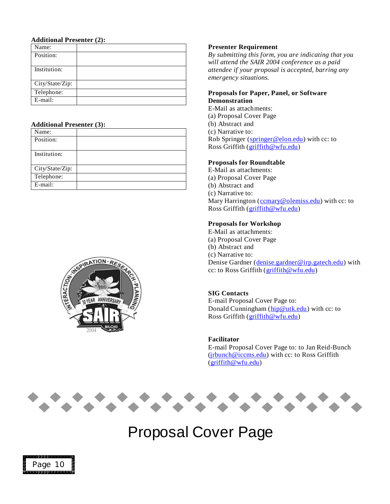#### **Additional Presenter (2):**

| Name:           |  |
|-----------------|--|
| Position:       |  |
|                 |  |
| Institution:    |  |
|                 |  |
| City/State/Zip: |  |
| Telephone:      |  |
| E-mail:         |  |

#### **Additional Presenter (3):**

| Name:           |  |
|-----------------|--|
| Position:       |  |
|                 |  |
| Institution:    |  |
|                 |  |
| City/State/Zip: |  |
| Telephone:      |  |
| E-mail:         |  |



#### **Presenter Requirement**

*By submitting this form, you are indicating that you will attend the SAIR 2004 conference as a paid attendee if your proposal is accepted, barring any emergency situations.*

#### **Proposals for Paper, Panel, or Software Demonstration**

E-Mail as attachments: (a) Proposal Cover Page (b) Abstract and (c) Narrative to: Rob Springer (springer@elon.edu) with cc: to Ross Griffith (griffith@wfu.edu)

#### **Proposals for Roundtable**

E-Mail as attachments: (a) Proposal Cover Page (b) Abstract and (c) Narrative to: Mary Harrington (comary@olemiss.edu) with cc: to Ross Griffith (griffith@wfu.edu)

#### **Proposals for Workshop**

E-Mail as attachments: (a) Proposal Cover Page (b) Abstract and (c) Narrative to: Denise Gardner (denise.gardner@irp.gatech.edu) with cc: to Ross Griffith (griffith@wfu.edu)

#### **SIG Contacts**

E-mail Proposal Cover Page to: Donald Cunningham (hip@utk.edu) with cc: to Ross Griffith (griffith@wfu.edu)

#### **Facilitator**

E-mail Proposal Cover Page to: to Jan Reid-Bunch (jrbunch@iccms.edu) with cc: to Ross Griffith (griffith@wfu.edu)



# Proposal Cover Page

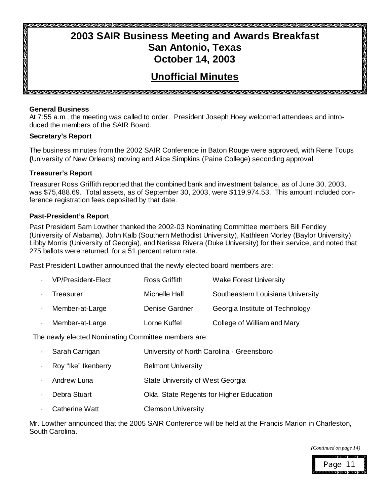# **2003 SAIR Business Meeting and Awards Breakfast San Antonio, Texas October 14, 2003**

# **Unofficial Minutes**

SAN SAN SAN SAN SAN SAN SAN SAN SAN SAN

**General Business**

ನಿಸಿದ ಸಂಸ್ಥೆಯನ್ನು

At 7:55 a.m., the meeting was called to order. President Joseph Hoey welcomed attendees and introduced the members of the SAIR Board.

#### **Secretary's Report**

The business minutes from the 2002 SAIR Conference in Baton Rouge were approved, with Rene Toups **(**University of New Orleans) moving and Alice Simpkins (Paine College) seconding approval.

#### **Treasurer's Report**

Treasurer Ross Griffith reported that the combined bank and investment balance, as of June 30, 2003, was \$75,488.69. Total assets, as of September 30, 2003, were \$119,974.53. This amount included conference registration fees deposited by that date.

#### **Past-President's Report**

Past President Sam Lowther thanked the 2002-03 Nominating Committee members Bill Fendley (University of Alabama), John Kalb (Southern Methodist University), Kathleen Morley (Baylor University), Libby Morris (University of Georgia), and Nerissa Rivera (Duke University) for their service, and noted that 275 ballots were returned, for a 51 percent return rate.

Past President Lowther announced that the newly elected board members are:

|        | <b>VP/President-Elect</b> | <b>Ross Griffith</b> | <b>Wake Forest University</b>     |
|--------|---------------------------|----------------------|-----------------------------------|
|        | Treasurer                 | Michelle Hall        | Southeastern Louisiana University |
| $\sim$ | Member-at-Large           | Denise Gardner       | Georgia Institute of Technology   |
|        | Member-at-Large           | Lorne Kuffel         | College of William and Mary       |

The newly elected Nominating Committee members are:

| $\blacksquare$ | Sarah Carrigan        | University of North Carolina - Greensboro |
|----------------|-----------------------|-------------------------------------------|
| $\blacksquare$ | Roy "Ike" Ikenberry   | <b>Belmont University</b>                 |
| $\blacksquare$ | Andrew Luna           | State University of West Georgia          |
|                | Debra Stuart          | Okla. State Regents for Higher Education  |
|                | <b>Catherine Watt</b> | <b>Clemson University</b>                 |
|                |                       |                                           |

Mr. Lowther announced that the 2005 SAIR Conference will be held at the Francis Marion in Charleston, South Carolina.

*(Continued on page 14)*



ತಿಸುಮಾರ್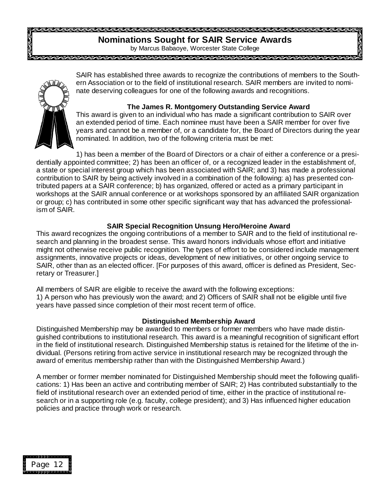# **Nominations Sought for SAIR Service Awards**

by Marcus Babaoye, Worcester State College 



SAIR has established three awards to recognize the contributions of members to the Southern Association or to the field of institutional research. SAIR members are invited to nominate deserving colleagues for one of the following awards and recognitions.

#### **The James R. Montgomery Outstanding Service Award**

This award is given to an individual who has made a significant contribution to SAIR over an extended period of time. Each nominee must have been a SAIR member for over five years and cannot be a member of, or a candidate for, the Board of Directors during the year nominated. In addition, two of the following criteria must be met:

1) has been a member of the Board of Directors or a chair of either a conference or a presidentially appointed committee; 2) has been an officer of, or a recognized leader in the establishment of, a state or special interest group which has been associated with SAIR; and 3) has made a professional contribution to SAIR by being actively involved in a combination of the following: a) has presented contributed papers at a SAIR conference; b) has organized, offered or acted as a primary participant in workshops at the SAIR annual conference or at workshops sponsored by an affiliated SAIR organization or group; c) has contributed in some other specific significant way that has advanced the professionalism of SAIR.

#### **SAIR Special Recognition Unsung Hero/Heroine Award**

This award recognizes the ongoing contributions of a member to SAIR and to the field of institutional research and planning in the broadest sense. This award honors individuals whose effort and initiative might not otherwise receive public recognition. The types of effort to be considered include management assignments, innovative projects or ideas, development of new initiatives, or other ongoing service to SAIR, other than as an elected officer. [For purposes of this award, officer is defined as President, Secretary or Treasurer.]

All members of SAIR are eligible to receive the award with the following exceptions:

1) A person who has previously won the award; and 2) Officers of SAIR shall not be eligible until five years have passed since completion of their most recent term of office.

#### **Distinguished Membership Award**

Distinguished Membership may be awarded to members or former members who have made distinguished contributions to institutional research. This award is a meaningful recognition of significant effort in the field of institutional research. Distinguished Membership status is retained for the lifetime of the individual. (Persons retiring from active service in institutional research may be recognized through the award of emeritus membership rather than with the Distinguished Membership Award.)

A member or former member nominated for Distinguished Membership should meet the following qualifications: 1) Has been an active and contributing member of SAIR; 2) Has contributed substantially to the field of institutional research over an extended period of time, either in the practice of institutional research or in a supporting role (e.g. faculty, college president); and 3) Has influenced higher education policies and practice through work or research.

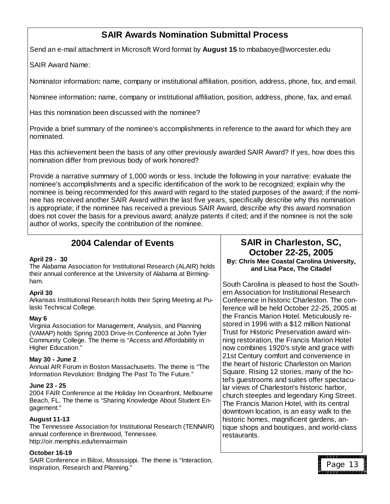# **SAIR Awards Nomination Submittal Process**

Send an e-mail attachment in Microsoft Word format by **August 15** to mbabaoye@worcester.edu

SAIR Award Name:

Nominator information**:** name, company or institutional affiliation, position, address, phone, fax, and email.

Nominee information**:** name, company or institutional affiliation, position, address, phone, fax, and email.

Has this nomination been discussed with the nominee?

Provide a brief summary of the nominee's accomplishments in reference to the award for which they are nominated.

Has this achievement been the basis of any other previously awarded SAIR Award? If yes, how does this nomination differ from previous body of work honored?

Provide a narrative summary of 1,000 words or less. Include the following in your narrative: evaluate the nominee's accomplishments and a specific identification of the work to be recognized; explain why the nominee is being recommended for this award with regard to the stated purposes of the award; if the nominee has received another SAIR Award within the last five years, specifically describe why this nomination is appropriate; if the nominee has received a previous SAIR Award, describe why this award nomination does not cover the basis for a previous award; analyze patents if cited; and if the nominee is not the sole author of works, specify the contribution of the nominee.

# **2004 Calendar of Events**

#### **April 29 - 30**

The Alabama Association for Institutional Research (ALAIR) holds their annual conference at the University of Alabama at Birmingham.

#### **April 30**

Arkansas Institutional Research holds their Spring Meeting at Pulaski Technical College.

#### **May 6**

Virginia Association for Management, Analysis, and Planning (VAMAP) holds Spring 2003 Drive-In Conference at John Tyler Community College. The theme is "Access and Affordability in Higher Education."

#### **May 30 - June 2**

Annual AIR Forum in Boston Massachusetts. The theme is "The Information Revolution: Bridging The Past To The Future."

#### **June 23 - 25**

2004 FAIR Conference at the Holiday Inn Oceanfront, Melbourne Beach, FL. The theme is "Sharing Knowledge About Student Engagement."

#### **August 11-13**

The Tennessee Association for Institutional Research (TENNAIR) annual conference in Brentwood, Tennessee. http://oir.memphis.edu/tennairmain

#### **October 16-19**

SAIR Conference in Biloxi, Mississippi. The theme is "Interaction, Inspiration, Research and Planning."

#### **SAIR in Charleston, SC, October 22-25, 2005 By: Chris Mee Coastal Carolina University, and Lisa Pace, The Citadel**

South Carolina is pleased to host the Southern Association for Institutional Research Conference in historic Charleston. The conference will be held October 22-25, 2005 at the Francis Marion Hotel. Meticulously restored in 1996 with a \$12 million National Trust for Historic Preservation award winning restoration, the Francis Marion Hotel now combines 1920's style and grace with 21st Century comfort and convenience in the heart of historic Charleston on Marion Square. Rising 12 stories, many of the hotel's guestrooms and suites offer spectacular views of Charleston's historic harbor, church steeples and legendary King Street. The Francis Marion Hotel, with its central downtown location, is an easy walk to the historic homes, magnificent gardens, antique shops and boutiques, and world-class restaurants.

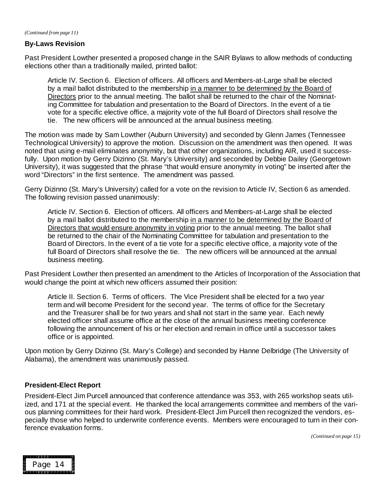*(Continued from page 11)*

#### **By-Laws Revision**

Past President Lowther presented a proposed change in the SAIR Bylaws to allow methods of conducting elections other than a traditionally mailed, printed ballot:

Article IV. Section 6. Election of officers. All officers and Members-at-Large shall be elected by a mail ballot distributed to the membership in a manner to be determined by the Board of Directors prior to the annual meeting. The ballot shall be returned to the chair of the Nominating Committee for tabulation and presentation to the Board of Directors. In the event of a tie vote for a specific elective office, a majority vote of the full Board of Directors shall resolve the tie. The new officers will be announced at the annual business meeting.

The motion was made by Sam Lowther (Auburn University) and seconded by Glenn James (Tennessee Technological University) to approve the motion. Discussion on the amendment was then opened. It was noted that using e-mail eliminates anonymity, but that other organizations, including AIR, used it successfully. Upon motion by Gerry Dizinno (St. Mary's University) and seconded by Debbie Dailey (Georgetown University), it was suggested that the phrase "that would ensure anonymity in voting" be inserted after the word "Directors" in the first sentence. The amendment was passed.

Gerry Dizinno (St. Mary's University) called for a vote on the revision to Article IV, Section 6 as amended. The following revision passed unanimously:

Article IV. Section 6. Election of officers. All officers and Members-at-Large shall be elected by a mail ballot distributed to the membership in a manner to be determined by the Board of Directors that would ensure anonymity in voting prior to the annual meeting. The ballot shall be returned to the chair of the Nominating Committee for tabulation and presentation to the Board of Directors. In the event of a tie vote for a specific elective office, a majority vote of the full Board of Directors shall resolve the tie. The new officers will be announced at the annual business meeting.

Past President Lowther then presented an amendment to the Articles of Incorporation of the Association that would change the point at which new officers assumed their position:

Article II. Section 6. Terms of officers. The Vice President shall be elected for a two year term and will become President for the second year. The terms of office for the Secretary and the Treasurer shall be for two years and shall not start in the same year. Each newly elected officer shall assume office at the close of the annual business meeting conference following the announcement of his or her election and remain in office until a successor takes office or is appointed.

Upon motion by Gerry Dizinno (St. Mary's College) and seconded by Hanne Delbridge (The University of Alabama), the amendment was unanimously passed.

#### **President-Elect Report**

President-Elect Jim Purcell announced that conference attendance was 353, with 265 workshop seats utilized, and 171 at the special event. He thanked the local arrangements committee and members of the various planning committees for their hard work. President-Elect Jim Purcell then recognized the vendors, especially those who helped to underwrite conference events. Members were encouraged to turn in their conference evaluation forms.

*(Continued on page 15)*

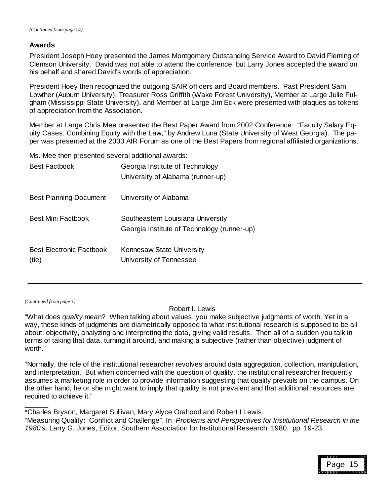#### **Awards**

President Joseph Hoey presented the James Montgomery Outstanding Service Award to David Fleming of Clemson University. David was not able to attend the conference, but Larry Jones accepted the award on his behalf and shared David's words of appreciation.

President Hoey then recognized the outgoing SAIR officers and Board members. Past President Sam Lowther (Auburn University), Treasurer Ross Griffith (Wake Forest University), Member at Large Julie Fulgham (Mississippi State University), and Member at Large Jim Eck were presented with plaques as tokens of appreciation from the Association.

Member at Large Chris Mee presented the Best Paper Award from 2002 Conference: "Faculty Salary Equity Cases: Combining Equity with the Law," by Andrew Luna (State University of West Georgia). The paper was presented at the 2003 AIR Forum as one of the Best Papers from regional affiliated organizations.

Ms. Mee then presented several additional awards:

| <b>Best Factbook</b>                     | Georgia Institute of Technology<br>University of Alabama (runner-up)             |
|------------------------------------------|----------------------------------------------------------------------------------|
| <b>Best Planning Document</b>            | University of Alabama                                                            |
| <b>Best Mini Factbook</b>                | Southeastern Louisiana University<br>Georgia Institute of Technology (runner-up) |
| <b>Best Electronic Factbook</b><br>(tie) | Kennesaw State University<br>University of Tennessee                             |

*(Continued from page 3)*

 $\overline{\phantom{a}}$ 

Robert I. Lewis

"What does *quality* mean? When talking about values, you make subjective judgments of worth. Yet in a way, these kinds of judgments are diametrically opposed to what institutional research is supposed to be all about: objectivity, analyzing and interpreting the data, giving valid results. Then all of a sudden you talk in terms of taking that data, turning it around, and making a subjective (rather than objective) judgment of worth."

"Normally, the role of the institutional researcher revolves around data aggregation, collection, manipulation, and interpretation. But when concerned with the question of quality, the institutional researcher frequently assumes a marketing role in order to provide information suggesting that quality prevails on the campus. On the other hand, he or she might want to imply that quality is not prevalent and that additional resources are required to achieve it."

\*Charles Bryson, Margaret Sullivan, Mary Alyce Orahood and Robert I Lewis. "Measuring Quality: Conflict and Challenge". In *Problems and Perspectives for Institutional Research in the 1980's*. Larry G. Jones, Editor. Southern Association for Institutional Research. 1980. pp. 19-23.